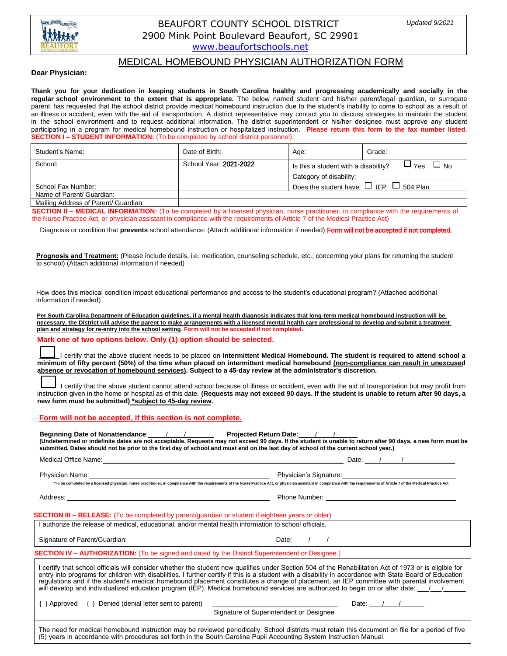

# BEAUFORT COUNTY SCHOOL DISTRICT 2900 Mink Point Boulevard Beaufort, SC 29901 www.beaufortschools.net

# MEDICAL HOME[BOUND PHYSICIAN AUTH](http://www.beaufortschools.net/)ORIZATION FORM

## **Dear Physician:**

**Thank you for your dedication in keeping students in South Carolina healthy and progressing academically and socially in the regular school environment to the extent that is appropriate.** The below named student and his/her parent/legal guardian, or surrogate parent has requested that the school district provide medical homebound instruction due to the student's inability to come to school as a result of an illness or accident, even with the aid of transportation. A district representative may contact you to discuss strategies to maintain the student in the school environment and to request additional information. The district superintendent or his/her designee must approve any student participating in a program for medical homebound instruction or hospitalized instruction. **Please return this form to the fax number listed**. **SECTION I – STUDENT INFORMATION:** (To be completed by school district personnel).

| Student's Name:                      | Date of Birth:         | Age:                                                              | Grade: |
|--------------------------------------|------------------------|-------------------------------------------------------------------|--------|
| School:                              | School Year: 2021-2022 | $\Box$ No<br>$\sqcup$ Yes<br>Is this a student with a disability? |        |
|                                      |                        | Category of disability:                                           |        |
| School Fax Number:                   |                        | Does the student have: $\Box$ IEP $\Box$ 504 Plan                 |        |
| Name of Parent/ Guardian:            |                        |                                                                   |        |
| Mailing Address of Parent/ Guardian: |                        |                                                                   |        |

**SECTION II – MEDICAL INFORMATION:** (To be completed by a licensed physician, nurse practitioner, in compliance with the requirements of the Nurse Practice Act, or physician assistant in compliance with the requirements of Article 7 of the Medical Practice Act)

Diagnosis or condition that **prevents** school attendance: (Attach additional information if needed) Form will not be accepted if not completed.

**Prognosis and Treatment:** (Please include details, i.e. medication, counseling schedule, etc., concerning your plans for returning the student to school) (Attach additional information if needed)

How does this medical condition impact educational performance and access to the student's educational program? (Attached additional information if needed)

**Per South Carolina Department of Education guidelines, if a mental health diagnosis indicates that long-term medical homebound instruction will be necessary, the District will advise the parent to make arrangements with a licensed mental health care professional to develop and submit a treatment plan and strategy for re-entry into the school setting**. **Form will not be accepted if not completed.** 

## **Mark one of two options below. Only (1) option should be selected.**

 I certify that the above student needs to be placed on **Intermittent Medical Homebound. The student is required to attend school a minimum of fifty percent (50%) of the time when placed on intermittent medical homebound (non-compliance can result in unexcused absence or revocation of homebound services). Subject to a 45-day review at the administrator's discretion.** 

 I certify that the above student cannot attend school because of illness or accident, even with the aid of transportation but may profit from instruction given in the home or hospital as of this date. **(Requests may not exceed 90 days. If the student is unable to return after 90 days, a new form must be submitted) \*subject to 45-day review.** 

**Form will not be accepted, if this section is not complete.**

**Beginning Date of Nonattendance**: / / **Projected Return Date:** / / **(Undetermined or indefinite dates are not acceptable. Requests may not exceed 90 days. If the student is unable to return after 90 days, a new form must be submitted. Dates should not be prior to the first day of school and must end on the last day of school of the current school year.)** 

| Medical Office Name: Name: Name: Name: Name: Name: Name: Name: Name: Name: Name: Name: Name: Name: N                                                                                                                                                                                                                                                                                                                                                                                                                                                                                                  | Date: $\sqrt{1 + 1}$                                                                                                                                                                                                                                                    |  |  |  |  |
|-------------------------------------------------------------------------------------------------------------------------------------------------------------------------------------------------------------------------------------------------------------------------------------------------------------------------------------------------------------------------------------------------------------------------------------------------------------------------------------------------------------------------------------------------------------------------------------------------------|-------------------------------------------------------------------------------------------------------------------------------------------------------------------------------------------------------------------------------------------------------------------------|--|--|--|--|
|                                                                                                                                                                                                                                                                                                                                                                                                                                                                                                                                                                                                       |                                                                                                                                                                                                                                                                         |  |  |  |  |
|                                                                                                                                                                                                                                                                                                                                                                                                                                                                                                                                                                                                       | *To be completed by a licensed physician, nurse practitioner, in compliance with the requirements of the Nurse Practice Act, or physician assistant in compliance with the requirements of Article 7 of the Medical Practice A                                          |  |  |  |  |
|                                                                                                                                                                                                                                                                                                                                                                                                                                                                                                                                                                                                       |                                                                                                                                                                                                                                                                         |  |  |  |  |
| <b>SECTION III – RELEASE:</b> (To be completed by parent/guardian or student if eighteen years or older)                                                                                                                                                                                                                                                                                                                                                                                                                                                                                              |                                                                                                                                                                                                                                                                         |  |  |  |  |
| I authorize the release of medical, educational, and/or mental health information to school officials.                                                                                                                                                                                                                                                                                                                                                                                                                                                                                                |                                                                                                                                                                                                                                                                         |  |  |  |  |
|                                                                                                                                                                                                                                                                                                                                                                                                                                                                                                                                                                                                       |                                                                                                                                                                                                                                                                         |  |  |  |  |
| <b>SECTION IV – AUTHORIZATION:</b> (To be signed and dated by the District Superintendent or Designee.)                                                                                                                                                                                                                                                                                                                                                                                                                                                                                               |                                                                                                                                                                                                                                                                         |  |  |  |  |
| I certify that school officials will consider whether the student now qualifies under Section 504 of the Rehabilitation Act of 1973 or is eligible for<br>entry into programs for children with disabilities. I further certify if this is a student with a disability in accordance with State Board of Education<br>requiations and if the student's medical homebound placement constitutes a change of placement, an IEP committee with parental involvement<br>will develop and individualized education program (IEP). Medical homebound services are authorized to begin on or after date: /// |                                                                                                                                                                                                                                                                         |  |  |  |  |
| $\{\}$ Approved $\{\}$ Denied (denial letter sent to parent)                                                                                                                                                                                                                                                                                                                                                                                                                                                                                                                                          | Date: $\frac{1}{1}$                                                                                                                                                                                                                                                     |  |  |  |  |
|                                                                                                                                                                                                                                                                                                                                                                                                                                                                                                                                                                                                       | Signature of Superintendent or Designee                                                                                                                                                                                                                                 |  |  |  |  |
|                                                                                                                                                                                                                                                                                                                                                                                                                                                                                                                                                                                                       | The need for medical homebound instruction may be reviewed periodically. School districts must retain this document on file for a period of five<br>(5) years in accordance with procedures set forth in the South Carolina Pupil Accounting System Instruction Manual. |  |  |  |  |